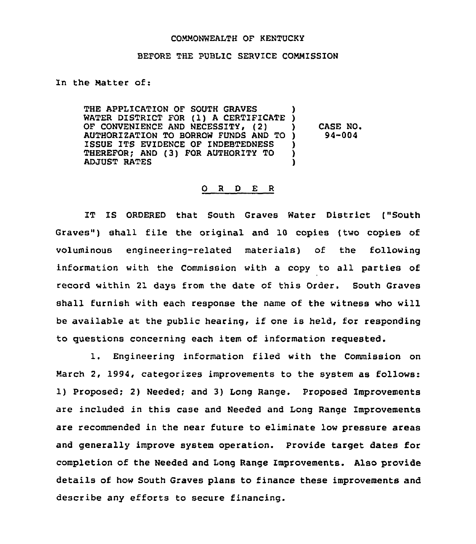## COMMONWEALTH OF KENTUCKY

## BEFORE THE PUBLIC SERVICE COMMISSION

## In the Matter of:

THE APPLICATION OF SOUTH GRAVES THE APPLICATION OF SOUTH GRAVES )<br>WATER DISTRICT FOR (1) A CERTIFICATE )<br>OR CONTINUATION 100 NOOCATE (10) OF CONVENIENCE AND NECESSITY, (2) AUTHORIZATION TO BORROW FUNDS AND TO ISSUE ITS EVIDENCE OF INDEBTEDNESS THEREFOR; AND (3) FOR AUTHORITY TO ADJUST RATES ) ) CASE NO. ) 94-004 ) ) )

## 0 <sup>R</sup> <sup>D</sup> E <sup>R</sup>

IT IS ORDERED that South Graves Water District ("South Graves") shall file the original and 10 copies (two copies of voluminous engineering-related materials) of the following information with the Commission with a copy to all parties of record within 21 days from the date of this Order. South Graves shall furnish with each response the name of the witness who will be available at the public hearing, if one is held, for responding to questions concerning each item of information requested.

1. Engineering information filed with the Commission on March 2, 1994, categorizes improvements to the system as follows: 1) Proposed; 2) Needed; and 3) Long Range. Proposed Improvements are included in this case and Needed and Long Range Improvements are recommended in the near future to eliminate low pressure areas and generally improve system operation. Provide target dates for completion of the Needed and Long Range Improvements. Also provide details of how South Graves plans to finance these improvements and describe any efforts to secure financing.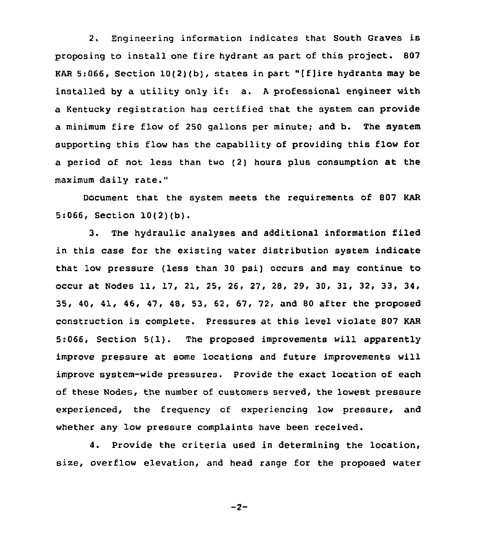2. Engineering information indicates that South Graves is proposing to install one fire hydrant as part of this project. 807 KAR 5:066, Section  $10(2)(b)$ , states in part "[f]ire hydrants may be installed by <sup>a</sup> utility only if: a. <sup>A</sup> professional engineer with a Kentucky registration has certified that the system can provide a minimum fire flow of 250 gallons per minute; and b. The system supporting this flow has the capability of providing this flow for a period of not less than two (2) hours plus consumption at the maximum daily rate."

Document that the system meets the requirements of 807 KAR 5:066, Section 10(2)(b).

3. The hydraulic analyses and additional information filed in this case for the existing water distribution system indicate that low pressure (less than 30 psi) occurs and may continue to occur at Nodes 11, 17, 21, 25, 26, 27, 28, 29, 30, 31, 32, 33, 34, 35, 40, 41, 46, 47, 48, 53, 62, 67, 72, and 80 after the proposed construction is complete. Pressures at this level violate 807 KAR 5:066, Section 5(1). The proposed improvements will apparently improve pressure at some locations and future improvements will improve system-wide pressures. Provide the exact location of each of these Nodes, the number of customers served, the lowest pressure experienced, the frequency of experiencing low pressure, and whether any low pressure complaints have been received.

4. Provide the criteria used in determining the location, size, overflow elevation, and head range for the proposed water

 $-2-$